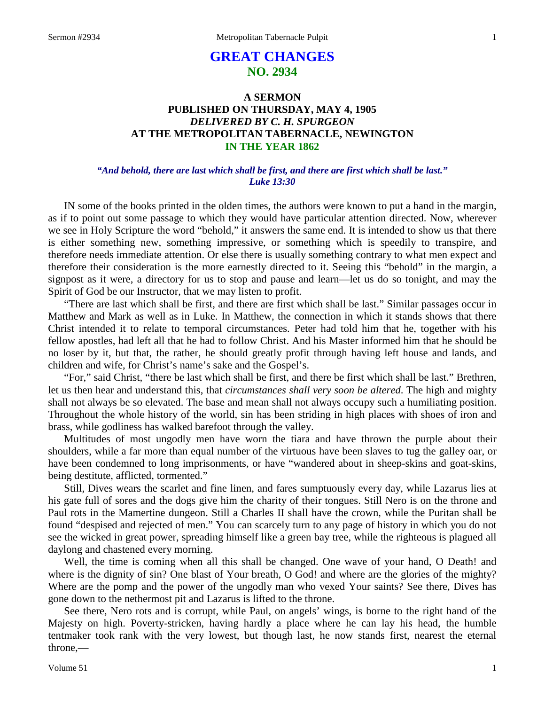# **GREAT CHANGES NO. 2934**

# **A SERMON PUBLISHED ON THURSDAY, MAY 4, 1905** *DELIVERED BY C. H. SPURGEON* **AT THE METROPOLITAN TABERNACLE, NEWINGTON IN THE YEAR 1862**

## *"And behold, there are last which shall be first, and there are first which shall be last." Luke 13:30*

IN some of the books printed in the olden times, the authors were known to put a hand in the margin, as if to point out some passage to which they would have particular attention directed. Now, wherever we see in Holy Scripture the word "behold," it answers the same end. It is intended to show us that there is either something new, something impressive, or something which is speedily to transpire, and therefore needs immediate attention. Or else there is usually something contrary to what men expect and therefore their consideration is the more earnestly directed to it. Seeing this "behold" in the margin, a signpost as it were, a directory for us to stop and pause and learn—let us do so tonight, and may the Spirit of God be our Instructor, that we may listen to profit.

"There are last which shall be first, and there are first which shall be last." Similar passages occur in Matthew and Mark as well as in Luke. In Matthew, the connection in which it stands shows that there Christ intended it to relate to temporal circumstances. Peter had told him that he, together with his fellow apostles, had left all that he had to follow Christ. And his Master informed him that he should be no loser by it, but that, the rather, he should greatly profit through having left house and lands, and children and wife, for Christ's name's sake and the Gospel's.

"For," said Christ, "there be last which shall be first, and there be first which shall be last." Brethren, let us then hear and understand this, that *circumstances shall very soon be altered*. The high and mighty shall not always be so elevated. The base and mean shall not always occupy such a humiliating position. Throughout the whole history of the world, sin has been striding in high places with shoes of iron and brass, while godliness has walked barefoot through the valley.

Multitudes of most ungodly men have worn the tiara and have thrown the purple about their shoulders, while a far more than equal number of the virtuous have been slaves to tug the galley oar, or have been condemned to long imprisonments, or have "wandered about in sheep-skins and goat-skins, being destitute, afflicted, tormented."

Still, Dives wears the scarlet and fine linen, and fares sumptuously every day, while Lazarus lies at his gate full of sores and the dogs give him the charity of their tongues. Still Nero is on the throne and Paul rots in the Mamertine dungeon. Still a Charles II shall have the crown, while the Puritan shall be found "despised and rejected of men." You can scarcely turn to any page of history in which you do not see the wicked in great power, spreading himself like a green bay tree, while the righteous is plagued all daylong and chastened every morning.

Well, the time is coming when all this shall be changed. One wave of your hand, O Death! and where is the dignity of sin? One blast of Your breath, O God! and where are the glories of the mighty? Where are the pomp and the power of the ungodly man who vexed Your saints? See there, Dives has gone down to the nethermost pit and Lazarus is lifted to the throne.

See there, Nero rots and is corrupt, while Paul, on angels' wings, is borne to the right hand of the Majesty on high. Poverty-stricken, having hardly a place where he can lay his head, the humble tentmaker took rank with the very lowest, but though last, he now stands first, nearest the eternal throne,—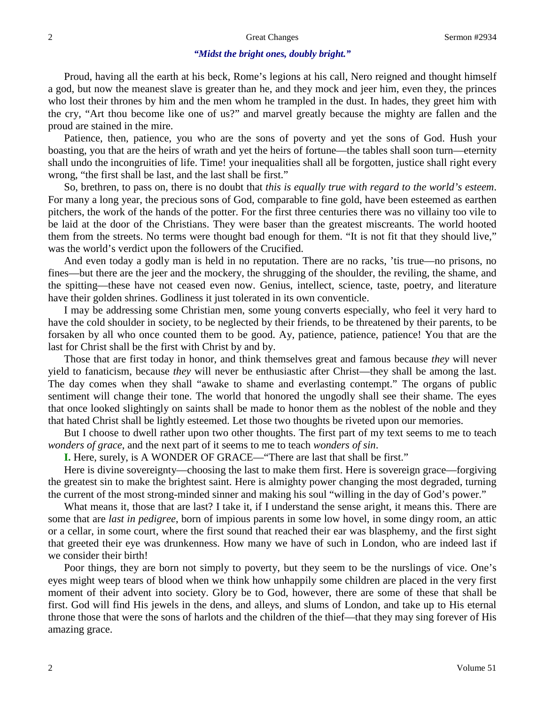# *"Midst the bright ones, doubly bright."*

Proud, having all the earth at his beck, Rome's legions at his call, Nero reigned and thought himself a god, but now the meanest slave is greater than he, and they mock and jeer him, even they, the princes who lost their thrones by him and the men whom he trampled in the dust. In hades, they greet him with the cry, "Art thou become like one of us?" and marvel greatly because the mighty are fallen and the proud are stained in the mire.

Patience, then, patience, you who are the sons of poverty and yet the sons of God. Hush your boasting, you that are the heirs of wrath and yet the heirs of fortune—the tables shall soon turn—eternity shall undo the incongruities of life. Time! your inequalities shall all be forgotten, justice shall right every wrong, "the first shall be last, and the last shall be first."

So, brethren, to pass on, there is no doubt that *this is equally true with regard to the world's esteem*. For many a long year, the precious sons of God, comparable to fine gold, have been esteemed as earthen pitchers, the work of the hands of the potter. For the first three centuries there was no villainy too vile to be laid at the door of the Christians. They were baser than the greatest miscreants. The world hooted them from the streets. No terms were thought bad enough for them. "It is not fit that they should live," was the world's verdict upon the followers of the Crucified.

And even today a godly man is held in no reputation. There are no racks, 'tis true—no prisons, no fines—but there are the jeer and the mockery, the shrugging of the shoulder, the reviling, the shame, and the spitting—these have not ceased even now. Genius, intellect, science, taste, poetry, and literature have their golden shrines. Godliness it just tolerated in its own conventicle.

I may be addressing some Christian men, some young converts especially, who feel it very hard to have the cold shoulder in society, to be neglected by their friends, to be threatened by their parents, to be forsaken by all who once counted them to be good. Ay, patience, patience, patience! You that are the last for Christ shall be the first with Christ by and by.

Those that are first today in honor, and think themselves great and famous because *they* will never yield to fanaticism, because *they* will never be enthusiastic after Christ—they shall be among the last. The day comes when they shall "awake to shame and everlasting contempt." The organs of public sentiment will change their tone. The world that honored the ungodly shall see their shame. The eyes that once looked slightingly on saints shall be made to honor them as the noblest of the noble and they that hated Christ shall be lightly esteemed. Let those two thoughts be riveted upon our memories.

But I choose to dwell rather upon two other thoughts. The first part of my text seems to me to teach *wonders of grace*, and the next part of it seems to me to teach *wonders of sin*.

**I.** Here, surely, is A WONDER OF GRACE—"There are last that shall be first."

Here is divine sovereignty—choosing the last to make them first. Here is sovereign grace—forgiving the greatest sin to make the brightest saint. Here is almighty power changing the most degraded, turning the current of the most strong-minded sinner and making his soul "willing in the day of God's power."

What means it, those that are last? I take it, if I understand the sense aright, it means this. There are some that are *last in pedigree*, born of impious parents in some low hovel, in some dingy room, an attic or a cellar, in some court, where the first sound that reached their ear was blasphemy, and the first sight that greeted their eye was drunkenness. How many we have of such in London, who are indeed last if we consider their birth!

Poor things, they are born not simply to poverty, but they seem to be the nurslings of vice. One's eyes might weep tears of blood when we think how unhappily some children are placed in the very first moment of their advent into society. Glory be to God, however, there are some of these that shall be first. God will find His jewels in the dens, and alleys, and slums of London, and take up to His eternal throne those that were the sons of harlots and the children of the thief—that they may sing forever of His amazing grace.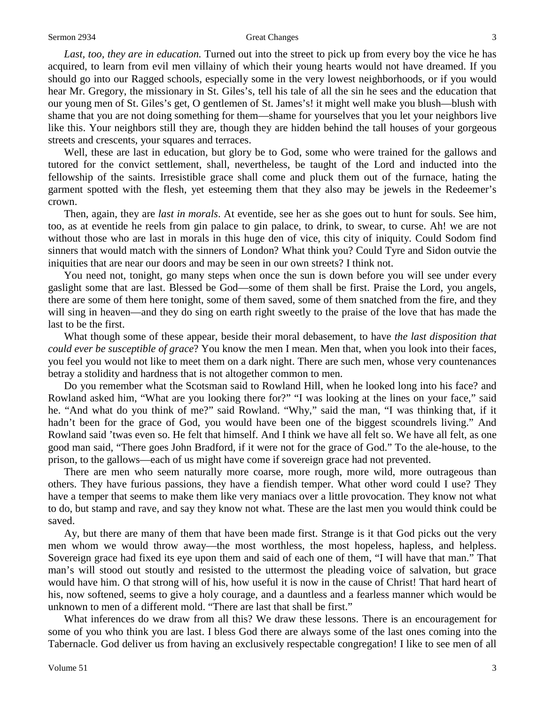Last, too, they are in education. Turned out into the street to pick up from every boy the vice he has acquired, to learn from evil men villainy of which their young hearts would not have dreamed. If you should go into our Ragged schools, especially some in the very lowest neighborhoods, or if you would hear Mr. Gregory, the missionary in St. Giles's, tell his tale of all the sin he sees and the education that our young men of St. Giles's get, O gentlemen of St. James's! it might well make you blush—blush with shame that you are not doing something for them—shame for yourselves that you let your neighbors live like this. Your neighbors still they are, though they are hidden behind the tall houses of your gorgeous streets and crescents, your squares and terraces.

Well, these are last in education, but glory be to God, some who were trained for the gallows and tutored for the convict settlement, shall, nevertheless, be taught of the Lord and inducted into the fellowship of the saints. Irresistible grace shall come and pluck them out of the furnace, hating the garment spotted with the flesh, yet esteeming them that they also may be jewels in the Redeemer's crown.

Then, again, they are *last in morals*. At eventide, see her as she goes out to hunt for souls. See him, too, as at eventide he reels from gin palace to gin palace, to drink, to swear, to curse. Ah! we are not without those who are last in morals in this huge den of vice, this city of iniquity. Could Sodom find sinners that would match with the sinners of London? What think you? Could Tyre and Sidon outvie the iniquities that are near our doors and may be seen in our own streets? I think not.

You need not, tonight, go many steps when once the sun is down before you will see under every gaslight some that are last. Blessed be God—some of them shall be first. Praise the Lord, you angels, there are some of them here tonight, some of them saved, some of them snatched from the fire, and they will sing in heaven—and they do sing on earth right sweetly to the praise of the love that has made the last to be the first.

What though some of these appear, beside their moral debasement, to have *the last disposition that could ever be susceptible of grace*? You know the men I mean. Men that, when you look into their faces, you feel you would not like to meet them on a dark night. There are such men, whose very countenances betray a stolidity and hardness that is not altogether common to men.

Do you remember what the Scotsman said to Rowland Hill, when he looked long into his face? and Rowland asked him, "What are you looking there for?" "I was looking at the lines on your face," said he. "And what do you think of me?" said Rowland. "Why," said the man, "I was thinking that, if it hadn't been for the grace of God, you would have been one of the biggest scoundrels living." And Rowland said 'twas even so. He felt that himself. And I think we have all felt so. We have all felt, as one good man said, "There goes John Bradford, if it were not for the grace of God." To the ale-house, to the prison, to the gallows—each of us might have come if sovereign grace had not prevented.

There are men who seem naturally more coarse, more rough, more wild, more outrageous than others. They have furious passions, they have a fiendish temper. What other word could I use? They have a temper that seems to make them like very maniacs over a little provocation. They know not what to do, but stamp and rave, and say they know not what. These are the last men you would think could be saved.

Ay, but there are many of them that have been made first. Strange is it that God picks out the very men whom we would throw away—the most worthless, the most hopeless, hapless, and helpless. Sovereign grace had fixed its eye upon them and said of each one of them, "I will have that man." That man's will stood out stoutly and resisted to the uttermost the pleading voice of salvation, but grace would have him. O that strong will of his, how useful it is now in the cause of Christ! That hard heart of his, now softened, seems to give a holy courage, and a dauntless and a fearless manner which would be unknown to men of a different mold. "There are last that shall be first."

What inferences do we draw from all this? We draw these lessons. There is an encouragement for some of you who think you are last. I bless God there are always some of the last ones coming into the Tabernacle. God deliver us from having an exclusively respectable congregation! I like to see men of all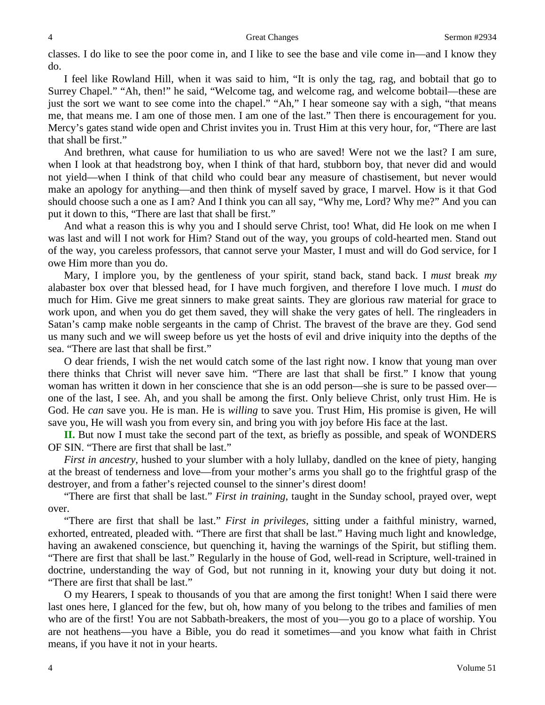classes. I do like to see the poor come in, and I like to see the base and vile come in—and I know they do.

I feel like Rowland Hill, when it was said to him, "It is only the tag, rag, and bobtail that go to Surrey Chapel." "Ah, then!" he said, "Welcome tag, and welcome rag, and welcome bobtail—these are just the sort we want to see come into the chapel." "Ah," I hear someone say with a sigh, "that means me, that means me. I am one of those men. I am one of the last." Then there is encouragement for you. Mercy's gates stand wide open and Christ invites you in. Trust Him at this very hour, for, "There are last that shall be first."

And brethren, what cause for humiliation to us who are saved! Were not we the last? I am sure, when I look at that headstrong boy, when I think of that hard, stubborn boy, that never did and would not yield—when I think of that child who could bear any measure of chastisement, but never would make an apology for anything—and then think of myself saved by grace, I marvel. How is it that God should choose such a one as I am? And I think you can all say, "Why me, Lord? Why me?" And you can put it down to this, "There are last that shall be first."

And what a reason this is why you and I should serve Christ, too! What, did He look on me when I was last and will I not work for Him? Stand out of the way, you groups of cold-hearted men. Stand out of the way, you careless professors, that cannot serve your Master, I must and will do God service, for I owe Him more than you do.

Mary, I implore you, by the gentleness of your spirit, stand back, stand back. I *must* break *my*  alabaster box over that blessed head, for I have much forgiven, and therefore I love much. I *must* do much for Him. Give me great sinners to make great saints. They are glorious raw material for grace to work upon, and when you do get them saved, they will shake the very gates of hell. The ringleaders in Satan's camp make noble sergeants in the camp of Christ. The bravest of the brave are they. God send us many such and we will sweep before us yet the hosts of evil and drive iniquity into the depths of the sea. "There are last that shall be first."

O dear friends, I wish the net would catch some of the last right now. I know that young man over there thinks that Christ will never save him. "There are last that shall be first." I know that young woman has written it down in her conscience that she is an odd person—she is sure to be passed over one of the last, I see. Ah, and you shall be among the first. Only believe Christ, only trust Him. He is God. He *can* save you. He is man. He is *willing* to save you. Trust Him, His promise is given, He will save you, He will wash you from every sin, and bring you with joy before His face at the last.

**II.** But now I must take the second part of the text, as briefly as possible, and speak of WONDERS OF SIN. "There are first that shall be last."

*First in ancestry*, hushed to your slumber with a holy lullaby, dandled on the knee of piety, hanging at the breast of tenderness and love—from your mother's arms you shall go to the frightful grasp of the destroyer, and from a father's rejected counsel to the sinner's direst doom!

"There are first that shall be last." *First in training*, taught in the Sunday school, prayed over, wept over.

"There are first that shall be last." *First in privileges*, sitting under a faithful ministry, warned, exhorted, entreated, pleaded with. "There are first that shall be last." Having much light and knowledge, having an awakened conscience, but quenching it, having the warnings of the Spirit, but stifling them. "There are first that shall be last." Regularly in the house of God, well-read in Scripture, well-trained in doctrine, understanding the way of God, but not running in it, knowing your duty but doing it not. "There are first that shall be last."

O my Hearers, I speak to thousands of you that are among the first tonight! When I said there were last ones here, I glanced for the few, but oh, how many of you belong to the tribes and families of men who are of the first! You are not Sabbath-breakers, the most of you—you go to a place of worship. You are not heathens—you have a Bible, you do read it sometimes—and you know what faith in Christ means, if you have it not in your hearts.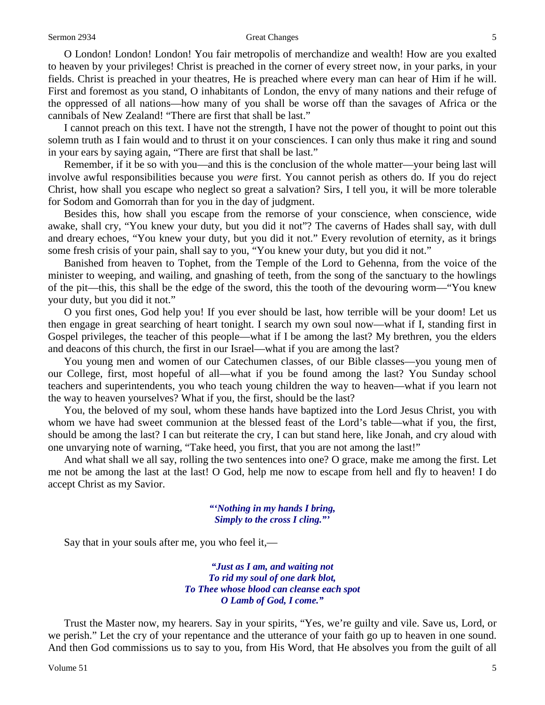O London! London! London! You fair metropolis of merchandize and wealth! How are you exalted to heaven by your privileges! Christ is preached in the corner of every street now, in your parks, in your fields. Christ is preached in your theatres, He is preached where every man can hear of Him if he will. First and foremost as you stand, O inhabitants of London, the envy of many nations and their refuge of the oppressed of all nations—how many of you shall be worse off than the savages of Africa or the cannibals of New Zealand! "There are first that shall be last."

I cannot preach on this text. I have not the strength, I have not the power of thought to point out this solemn truth as I fain would and to thrust it on your consciences. I can only thus make it ring and sound in your ears by saying again, "There are first that shall be last."

Remember, if it be so with you—and this is the conclusion of the whole matter—your being last will involve awful responsibilities because you *were* first. You cannot perish as others do. If you do reject Christ, how shall you escape who neglect so great a salvation? Sirs, I tell you, it will be more tolerable for Sodom and Gomorrah than for you in the day of judgment.

Besides this, how shall you escape from the remorse of your conscience, when conscience, wide awake, shall cry, "You knew your duty, but you did it not"? The caverns of Hades shall say, with dull and dreary echoes, "You knew your duty, but you did it not." Every revolution of eternity, as it brings some fresh crisis of your pain, shall say to you, "You knew your duty, but you did it not."

Banished from heaven to Tophet, from the Temple of the Lord to Gehenna, from the voice of the minister to weeping, and wailing, and gnashing of teeth, from the song of the sanctuary to the howlings of the pit—this, this shall be the edge of the sword, this the tooth of the devouring worm—"You knew your duty, but you did it not."

O you first ones, God help you! If you ever should be last, how terrible will be your doom! Let us then engage in great searching of heart tonight. I search my own soul now—what if I, standing first in Gospel privileges, the teacher of this people—what if I be among the last? My brethren, you the elders and deacons of this church, the first in our Israel—what if you are among the last?

You young men and women of our Catechumen classes, of our Bible classes—you young men of our College, first, most hopeful of all—what if you be found among the last? You Sunday school teachers and superintendents, you who teach young children the way to heaven—what if you learn not the way to heaven yourselves? What if you, the first, should be the last?

You, the beloved of my soul, whom these hands have baptized into the Lord Jesus Christ, you with whom we have had sweet communion at the blessed feast of the Lord's table—what if you, the first, should be among the last? I can but reiterate the cry, I can but stand here, like Jonah, and cry aloud with one unvarying note of warning, "Take heed, you first, that you are not among the last!"

And what shall we all say, rolling the two sentences into one? O grace, make me among the first. Let me not be among the last at the last! O God, help me now to escape from hell and fly to heaven! I do accept Christ as my Savior.

> *"'Nothing in my hands I bring, Simply to the cross I cling."'*

Say that in your souls after me, you who feel it,—

*"Just as I am, and waiting not To rid my soul of one dark blot, To Thee whose blood can cleanse each spot O Lamb of God, I come."*

Trust the Master now, my hearers. Say in your spirits, "Yes, we're guilty and vile. Save us, Lord, or we perish." Let the cry of your repentance and the utterance of your faith go up to heaven in one sound. And then God commissions us to say to you, from His Word, that He absolves you from the guilt of all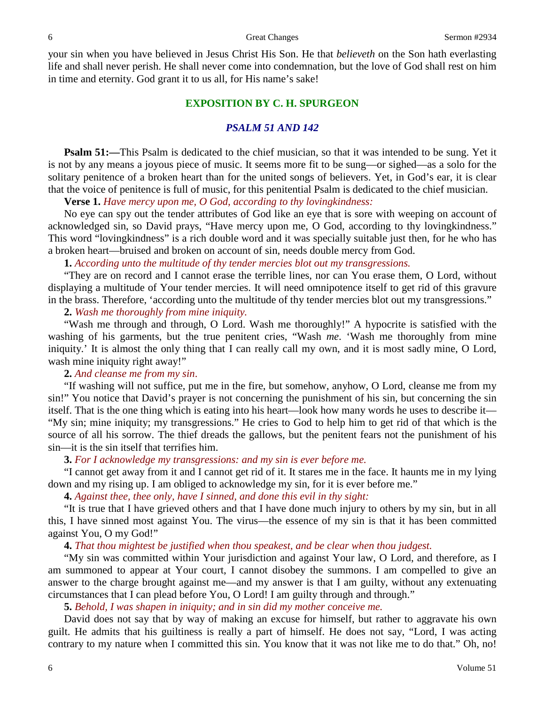your sin when you have believed in Jesus Christ His Son. He that *believeth* on the Son hath everlasting life and shall never perish. He shall never come into condemnation, but the love of God shall rest on him in time and eternity. God grant it to us all, for His name's sake!

# **EXPOSITION BY C. H. SPURGEON**

# *PSALM 51 AND 142*

**Psalm 51:—**This Psalm is dedicated to the chief musician, so that it was intended to be sung. Yet it is not by any means a joyous piece of music. It seems more fit to be sung—or sighed—as a solo for the solitary penitence of a broken heart than for the united songs of believers. Yet, in God's ear, it is clear that the voice of penitence is full of music, for this penitential Psalm is dedicated to the chief musician.

**Verse 1.** *Have mercy upon me, O God, according to thy lovingkindness:*

No eye can spy out the tender attributes of God like an eye that is sore with weeping on account of acknowledged sin, so David prays, "Have mercy upon me, O God, according to thy lovingkindness." This word "lovingkindness" is a rich double word and it was specially suitable just then, for he who has a broken heart—bruised and broken on account of sin, needs double mercy from God.

**1.** *According unto the multitude of thy tender mercies blot out my transgressions.* 

"They are on record and I cannot erase the terrible lines, nor can You erase them, O Lord, without displaying a multitude of Your tender mercies. It will need omnipotence itself to get rid of this gravure in the brass. Therefore, 'according unto the multitude of thy tender mercies blot out my transgressions."

# **2.** *Wash me thoroughly from mine iniquity.*

"Wash me through and through, O Lord. Wash me thoroughly!" A hypocrite is satisfied with the washing of his garments, but the true penitent cries, "Wash *me*. 'Wash me thoroughly from mine iniquity.' It is almost the only thing that I can really call my own, and it is most sadly mine, O Lord, wash mine iniquity right away!"

# **2.** *And cleanse me from my sin*.

"If washing will not suffice, put me in the fire, but somehow, anyhow, O Lord, cleanse me from my sin!" You notice that David's prayer is not concerning the punishment of his sin, but concerning the sin itself. That is the one thing which is eating into his heart—look how many words he uses to describe it— "My sin; mine iniquity; my transgressions." He cries to God to help him to get rid of that which is the source of all his sorrow. The thief dreads the gallows, but the penitent fears not the punishment of his sin—it is the sin itself that terrifies him.

# **3.** *For I acknowledge my transgressions: and my sin is ever before me.*

"I cannot get away from it and I cannot get rid of it. It stares me in the face. It haunts me in my lying down and my rising up. I am obliged to acknowledge my sin, for it is ever before me."

**4.** *Against thee, thee only, have I sinned, and done this evil in thy sight:*

"It is true that I have grieved others and that I have done much injury to others by my sin, but in all this, I have sinned most against You. The virus—the essence of my sin is that it has been committed against You, O my God!"

**4.** *That thou mightest be justified when thou speakest, and be clear when thou judgest.*

"My sin was committed within Your jurisdiction and against Your law, O Lord, and therefore, as I am summoned to appear at Your court, I cannot disobey the summons. I am compelled to give an answer to the charge brought against me—and my answer is that I am guilty, without any extenuating circumstances that I can plead before You, O Lord! I am guilty through and through."

**5.** *Behold, I was shapen in iniquity; and in sin did my mother conceive me.* 

David does not say that by way of making an excuse for himself, but rather to aggravate his own guilt. He admits that his guiltiness is really a part of himself. He does not say, "Lord, I was acting contrary to my nature when I committed this sin. You know that it was not like me to do that." Oh, no!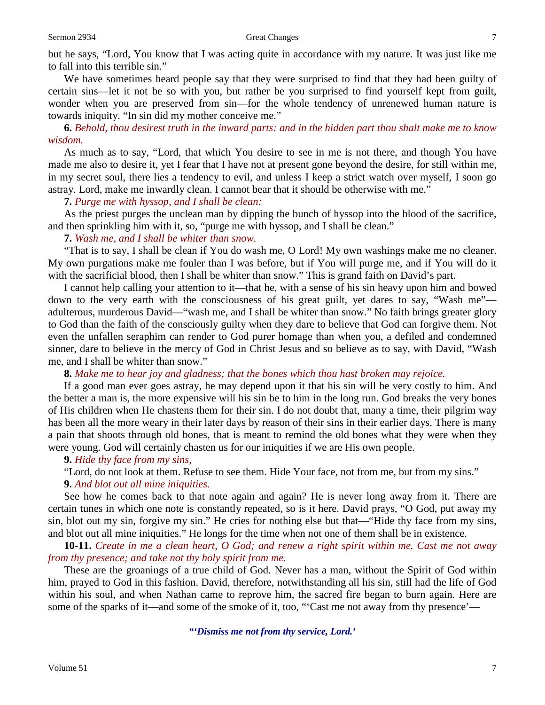but he says, "Lord, You know that I was acting quite in accordance with my nature. It was just like me to fall into this terrible sin."

We have sometimes heard people say that they were surprised to find that they had been guilty of certain sins—let it not be so with you, but rather be you surprised to find yourself kept from guilt, wonder when you are preserved from sin—for the whole tendency of unrenewed human nature is towards iniquity. "In sin did my mother conceive me."

**6.** *Behold, thou desirest truth in the inward parts: and in the hidden part thou shalt make me to know wisdom.* 

As much as to say, "Lord, that which You desire to see in me is not there, and though You have made me also to desire it, yet I fear that I have not at present gone beyond the desire, for still within me, in my secret soul, there lies a tendency to evil, and unless I keep a strict watch over myself, I soon go astray. Lord, make me inwardly clean. I cannot bear that it should be otherwise with me."

**7.** *Purge me with hyssop, and I shall be clean:*

As the priest purges the unclean man by dipping the bunch of hyssop into the blood of the sacrifice, and then sprinkling him with it, so, "purge me with hyssop, and I shall be clean."

## **7.** *Wash me, and I shall be whiter than snow.*

"That is to say, I shall be clean if You do wash me, O Lord! My own washings make me no cleaner. My own purgations make me fouler than I was before, but if You will purge me, and if You will do it with the sacrificial blood, then I shall be whiter than snow." This is grand faith on David's part.

I cannot help calling your attention to it—that he, with a sense of his sin heavy upon him and bowed down to the very earth with the consciousness of his great guilt, yet dares to say, "Wash me" adulterous, murderous David—"wash me, and I shall be whiter than snow." No faith brings greater glory to God than the faith of the consciously guilty when they dare to believe that God can forgive them. Not even the unfallen seraphim can render to God purer homage than when you, a defiled and condemned sinner, dare to believe in the mercy of God in Christ Jesus and so believe as to say, with David, "Wash me, and I shall be whiter than snow."

**8.** *Make me to hear joy and gladness; that the bones which thou hast broken may rejoice.*

If a good man ever goes astray, he may depend upon it that his sin will be very costly to him. And the better a man is, the more expensive will his sin be to him in the long run. God breaks the very bones of His children when He chastens them for their sin. I do not doubt that, many a time, their pilgrim way has been all the more weary in their later days by reason of their sins in their earlier days. There is many a pain that shoots through old bones, that is meant to remind the old bones what they were when they were young. God will certainly chasten us for our iniquities if we are His own people.

# **9.** *Hide thy face from my sins,*

"Lord, do not look at them. Refuse to see them. Hide Your face, not from me, but from my sins."

# **9.** *And blot out all mine iniquities.*

See how he comes back to that note again and again? He is never long away from it. There are certain tunes in which one note is constantly repeated, so is it here. David prays, "O God, put away my sin, blot out my sin, forgive my sin." He cries for nothing else but that—"Hide thy face from my sins, and blot out all mine iniquities." He longs for the time when not one of them shall be in existence.

**10-11.** *Create in me a clean heart, O God; and renew a right spirit within me. Cast me not away from thy presence; and take not thy holy spirit from me.* 

These are the groanings of a true child of God. Never has a man, without the Spirit of God within him, prayed to God in this fashion. David, therefore, notwithstanding all his sin, still had the life of God within his soul, and when Nathan came to reprove him, the sacred fire began to burn again. Here are some of the sparks of it—and some of the smoke of it, too, "Cast me not away from thy presence'—

*"'Dismiss me not from thy service, Lord.'*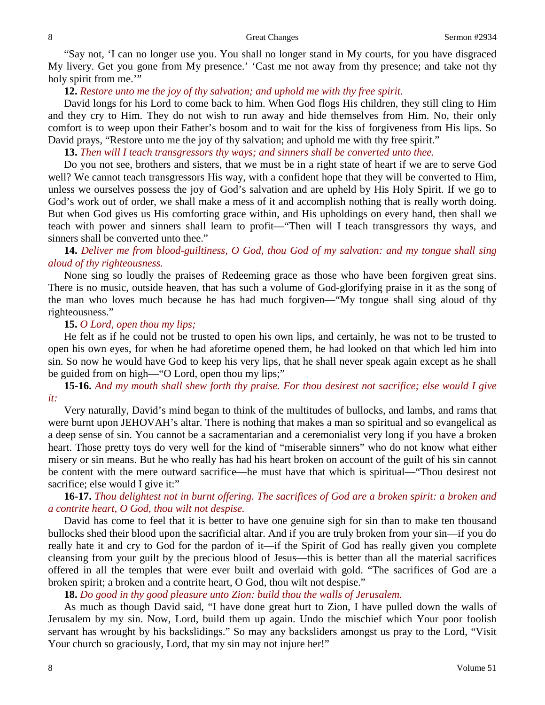"Say not, 'I can no longer use you. You shall no longer stand in My courts, for you have disgraced My livery. Get you gone from My presence.' 'Cast me not away from thy presence; and take not thy holy spirit from me."

## **12.** *Restore unto me the joy of thy salvation; and uphold me with thy free spirit.*

David longs for his Lord to come back to him. When God flogs His children, they still cling to Him and they cry to Him. They do not wish to run away and hide themselves from Him. No, their only comfort is to weep upon their Father's bosom and to wait for the kiss of forgiveness from His lips. So David prays, "Restore unto me the joy of thy salvation; and uphold me with thy free spirit."

**13.** *Then will I teach transgressors thy ways; and sinners shall be converted unto thee.*

Do you not see, brothers and sisters, that we must be in a right state of heart if we are to serve God well? We cannot teach transgressors His way, with a confident hope that they will be converted to Him, unless we ourselves possess the joy of God's salvation and are upheld by His Holy Spirit. If we go to God's work out of order, we shall make a mess of it and accomplish nothing that is really worth doing. But when God gives us His comforting grace within, and His upholdings on every hand, then shall we teach with power and sinners shall learn to profit—"Then will I teach transgressors thy ways, and sinners shall be converted unto thee."

# **14.** *Deliver me from blood-guiltiness, O God, thou God of my salvation: and my tongue shall sing aloud of thy righteousness.*

None sing so loudly the praises of Redeeming grace as those who have been forgiven great sins. There is no music, outside heaven, that has such a volume of God-glorifying praise in it as the song of the man who loves much because he has had much forgiven—"My tongue shall sing aloud of thy righteousness."

# **15.** *O Lord, open thou my lips;*

He felt as if he could not be trusted to open his own lips, and certainly, he was not to be trusted to open his own eyes, for when he had aforetime opened them, he had looked on that which led him into sin. So now he would have God to keep his very lips, that he shall never speak again except as he shall be guided from on high—"O Lord, open thou my lips;"

**15-16.** *And my mouth shall shew forth thy praise. For thou desirest not sacrifice; else would I give it:*

Very naturally, David's mind began to think of the multitudes of bullocks, and lambs, and rams that were burnt upon JEHOVAH's altar. There is nothing that makes a man so spiritual and so evangelical as a deep sense of sin. You cannot be a sacramentarian and a ceremonialist very long if you have a broken heart. Those pretty toys do very well for the kind of "miserable sinners" who do not know what either misery or sin means. But he who really has had his heart broken on account of the guilt of his sin cannot be content with the mere outward sacrifice—he must have that which is spiritual—"Thou desirest not sacrifice; else would I give it:"

# **16-17.** *Thou delightest not in burnt offering. The sacrifices of God are a broken spirit: a broken and a contrite heart, O God, thou wilt not despise.*

David has come to feel that it is better to have one genuine sigh for sin than to make ten thousand bullocks shed their blood upon the sacrificial altar. And if you are truly broken from your sin—if you do really hate it and cry to God for the pardon of it—if the Spirit of God has really given you complete cleansing from your guilt by the precious blood of Jesus—this is better than all the material sacrifices offered in all the temples that were ever built and overlaid with gold. "The sacrifices of God are a broken spirit; a broken and a contrite heart, O God, thou wilt not despise."

## **18.** *Do good in thy good pleasure unto Zion: build thou the walls of Jerusalem.*

As much as though David said, "I have done great hurt to Zion, I have pulled down the walls of Jerusalem by my sin. Now, Lord, build them up again. Undo the mischief which Your poor foolish servant has wrought by his backslidings." So may any backsliders amongst us pray to the Lord, "Visit Your church so graciously, Lord, that my sin may not injure her!"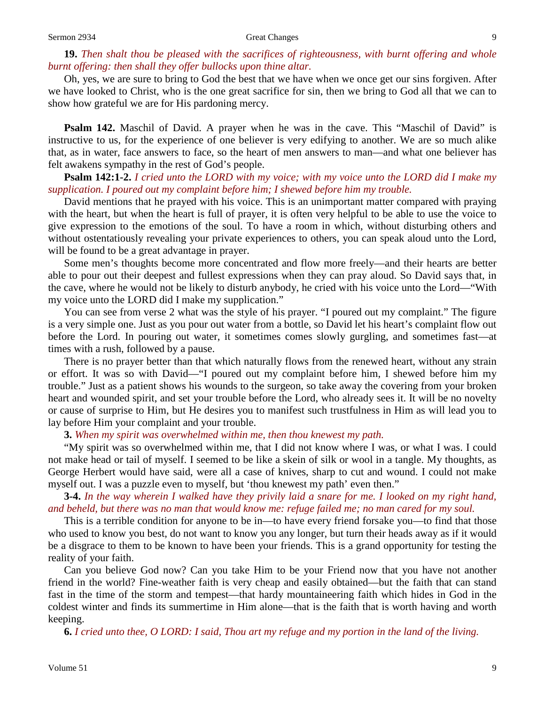# **19.** *Then shalt thou be pleased with the sacrifices of righteousness, with burnt offering and whole burnt offering: then shall they offer bullocks upon thine altar.*

Oh, yes, we are sure to bring to God the best that we have when we once get our sins forgiven. After we have looked to Christ, who is the one great sacrifice for sin, then we bring to God all that we can to show how grateful we are for His pardoning mercy.

**Psalm 142.** Maschil of David. A prayer when he was in the cave. This "Maschil of David" is instructive to us, for the experience of one believer is very edifying to another. We are so much alike that, as in water, face answers to face, so the heart of men answers to man—and what one believer has felt awakens sympathy in the rest of God's people.

**Psalm 142:1-2.** *I cried unto the LORD with my voice; with my voice unto the LORD did I make my supplication. I poured out my complaint before him; I shewed before him my trouble.*

David mentions that he prayed with his voice. This is an unimportant matter compared with praying with the heart, but when the heart is full of prayer, it is often very helpful to be able to use the voice to give expression to the emotions of the soul. To have a room in which, without disturbing others and without ostentatiously revealing your private experiences to others, you can speak aloud unto the Lord, will be found to be a great advantage in prayer.

Some men's thoughts become more concentrated and flow more freely—and their hearts are better able to pour out their deepest and fullest expressions when they can pray aloud. So David says that, in the cave, where he would not be likely to disturb anybody, he cried with his voice unto the Lord—"With my voice unto the LORD did I make my supplication."

You can see from verse 2 what was the style of his prayer. "I poured out my complaint." The figure is a very simple one. Just as you pour out water from a bottle, so David let his heart's complaint flow out before the Lord. In pouring out water, it sometimes comes slowly gurgling, and sometimes fast—at times with a rush, followed by a pause.

There is no prayer better than that which naturally flows from the renewed heart, without any strain or effort. It was so with David—"I poured out my complaint before him, I shewed before him my trouble." Just as a patient shows his wounds to the surgeon, so take away the covering from your broken heart and wounded spirit, and set your trouble before the Lord, who already sees it. It will be no novelty or cause of surprise to Him, but He desires you to manifest such trustfulness in Him as will lead you to lay before Him your complaint and your trouble.

# **3.** *When my spirit was overwhelmed within me, then thou knewest my path.*

"My spirit was so overwhelmed within me, that I did not know where I was, or what I was. I could not make head or tail of myself. I seemed to be like a skein of silk or wool in a tangle. My thoughts, as George Herbert would have said, were all a case of knives, sharp to cut and wound. I could not make myself out. I was a puzzle even to myself, but 'thou knewest my path' even then."

**3-4.** *In the way wherein I walked have they privily laid a snare for me. I looked on my right hand, and beheld, but there was no man that would know me: refuge failed me; no man cared for my soul.*

This is a terrible condition for anyone to be in—to have every friend forsake you—to find that those who used to know you best, do not want to know you any longer, but turn their heads away as if it would be a disgrace to them to be known to have been your friends. This is a grand opportunity for testing the reality of your faith.

Can you believe God now? Can you take Him to be your Friend now that you have not another friend in the world? Fine-weather faith is very cheap and easily obtained—but the faith that can stand fast in the time of the storm and tempest—that hardy mountaineering faith which hides in God in the coldest winter and finds its summertime in Him alone—that is the faith that is worth having and worth keeping.

**6.** *I cried unto thee, O LORD: I said, Thou art my refuge and my portion in the land of the living.*